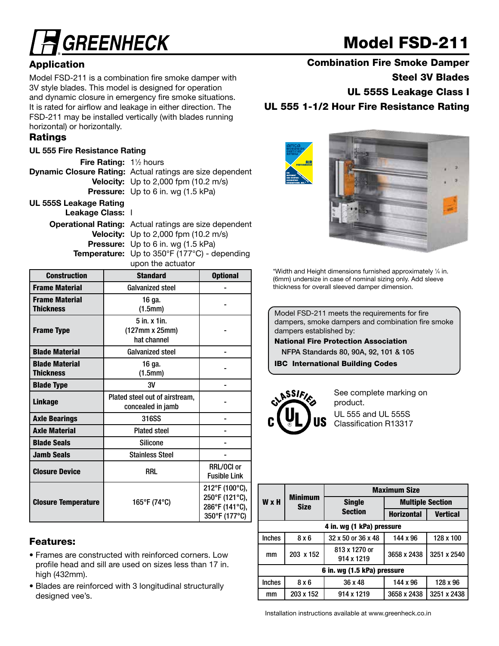# **GREENHECK**

## Model FSD-211

### **Application**

Model FSD-211 is a combination fire smoke damper with 3V style blades. This model is designed for operation and dynamic closure in emergency fire smoke situations. It is rated for airflow and leakage in either direction. The FSD-211 may be installed vertically (with blades running horizontal) or horizontally.

#### Ratings

#### UL 555 Fire Resistance Rating

Fire Rating: 1<sup>1/2</sup> hours Dynamic Closure Rating: Actual ratings are size dependent **Velocity:** Up to 2,000 fpm (10.2 m/s) Pressure: Up to 6 in. wg (1.5 kPa) UL 555S Leakage Rating

Leakage Class: I

| <b>Operational Rating:</b> Actual ratings are size dependent       |
|--------------------------------------------------------------------|
| <b>Velocity:</b> Up to 2,000 fpm $(10.2 \text{ m/s})$              |
| <b>Pressure:</b> Up to 6 in. wg (1.5 kPa)                          |
| <b>Temperature:</b> Up to $350^{\circ}F(177^{\circ}C)$ - depending |
| upon the actuator                                                  |

| <b>Construction</b>                       | <b>Standard</b>                                     | <b>Optional</b>                                                     |
|-------------------------------------------|-----------------------------------------------------|---------------------------------------------------------------------|
| <b>Frame Material</b>                     | <b>Galvanized steel</b>                             |                                                                     |
| <b>Frame Material</b><br><b>Thickness</b> | 16 ga.<br>(1.5mm)                                   |                                                                     |
| <b>Frame Type</b>                         | $5$ in. $x$ 1in.<br>(127mm x 25mm)<br>hat channel   |                                                                     |
| <b>Blade Material</b>                     | <b>Galvanized steel</b>                             |                                                                     |
| <b>Blade Material</b><br><b>Thickness</b> | 16 ga.<br>(1.5mm)                                   |                                                                     |
| <b>Blade Type</b>                         | 3V                                                  |                                                                     |
| <b>Linkage</b>                            | Plated steel out of airstream,<br>concealed in jamb |                                                                     |
| <b>Axle Bearings</b>                      | 316SS                                               |                                                                     |
| <b>Axle Material</b>                      | <b>Plated steel</b>                                 |                                                                     |
| <b>Blade Seals</b>                        | <b>Silicone</b>                                     |                                                                     |
| <b>Jamb Seals</b>                         | <b>Stainless Steel</b>                              |                                                                     |
| <b>Closure Device</b>                     | RRL                                                 | RRL/OCI or<br><b>Fusible Link</b>                                   |
| <b>Closure Temperature</b>                | 165°F (74°C)                                        | 212°F (100°C),<br>250°F (121°C),<br>286°F (141°C),<br>350°F (177°C) |

#### Features:

- Frames are constructed with reinforced corners. Low profile head and sill are used on sizes less than 17 in. high (432mm).
- Blades are reinforced with 3 longitudinal structurally designed vee's.

Combination Fire Smoke Damper

Steel 3V Blades

UL 555S Leakage Class I

UL 555 1-1/2 Hour Fire Resistance Rating



\*Width and Height dimensions furnished approximately 1 ⁄4 in. (6mm) undersize in case of nominal sizing only. Add sleeve thickness for overall sleeved damper dimension.

Model FSD-211 meets the requirements for fire dampers, smoke dampers and combination fire smoke dampers established by:

National Fire Protection Association

 NFPA Standards 80, 90A, 92, 101 & 105 IBC International Building Codes



See complete marking on product. UL 555 and UL 555S Classification R13317

|               |                               |                             | <b>Maximum Size</b>     |                 |  |  |  |
|---------------|-------------------------------|-----------------------------|-------------------------|-----------------|--|--|--|
| W x H         | <b>Minimum</b><br><b>Size</b> | <b>Single</b>               | <b>Multiple Section</b> |                 |  |  |  |
|               |                               | <b>Section</b>              | <b>Horizontal</b>       | <b>Vertical</b> |  |  |  |
|               |                               | 4 in. wg (1 kPa) pressure   |                         |                 |  |  |  |
| <b>Inches</b> | 8x6                           | 32 x 50 or 36 x 48          | 144 x 96                | 128 x 100       |  |  |  |
| mm            | 203 x 152                     | 813 x 1270 or<br>914 x 1219 | 3658 x 2438             | 3251 x 2540     |  |  |  |
|               | 6 in. wg (1.5 kPa) pressure   |                             |                         |                 |  |  |  |
| <b>Inches</b> | 8x6                           | 36 x 48                     | 144 x 96                | 128 x 96        |  |  |  |
| mm            | 203 x 152                     | 914 x 1219                  | 3658 x 2438             | 3251 x 2438     |  |  |  |

Installation instructions available at www.greenheck.co.in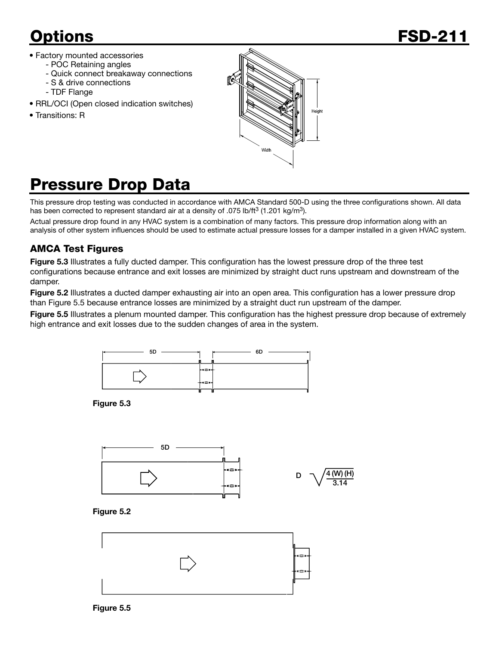- Factory mounted accessories
	- POC Retaining angles
	- Quick connect breakaway connections
	- S & drive connections
	- TDF Flange
- RRL/OCI (Open closed indication switches)
- Transitions: R



## Pressure Drop Data

This pressure drop testing was conducted in accordance with AMCA Standard 500-D using the three configurations shown. All data has been corrected to represent standard air at a density of .075 lb/ft<sup>3</sup> (1.201 kg/m<sup>3</sup>).

Actual pressure drop found in any HVAC system is a combination of many factors. This pressure drop information along with an analysis of other system influences should be used to estimate actual pressure losses for a damper installed in a given HVAC system.

### AMCA Test Figures

Figure 5.3 Illustrates a fully ducted damper. This configuration has the lowest pressure drop of the three test configurations because entrance and exit losses are minimized by straight duct runs upstream and downstream of the damper.

Figure 5.2 Illustrates a ducted damper exhausting air into an open area. This configuration has a lower pressure drop than Figure 5.5 because entrance losses are minimized by a straight duct run upstream of the damper.

Figure 5.5 Illustrates a plenum mounted damper. This configuration has the highest pressure drop because of extremely high entrance and exit losses due to the sudden changes of area in the system.



Figure 5.3





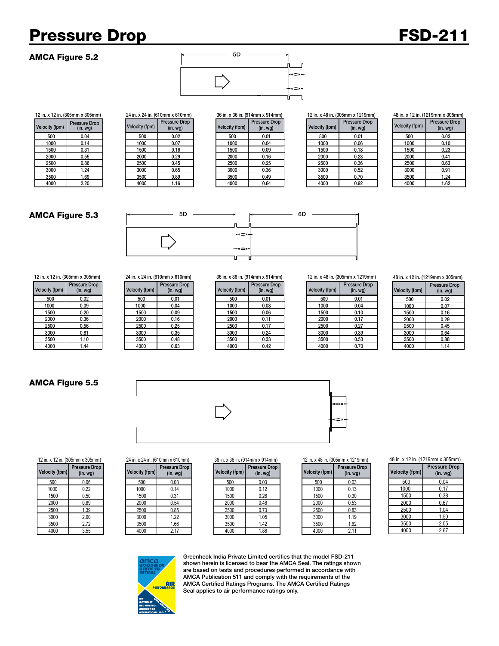## Pressure Drop FSD-211

Velocity (fpm) Pressure Drop<br>Velocity (fpm) (in. wg) Velocity (fpm)

#### AMCA Figure 5.2



#### 12 in. x 12 in. (305mm x 305mm) 24 in. x 24 in. (610mm x 610mm) 36 in. x 36 in. (914mm x 914mm) 12 in. x 48 in. (305mm x 1219mm)

|            |                          | ---------------------------------- |                                   |                |                                 |                |                          |
|------------|--------------------------|------------------------------------|-----------------------------------|----------------|---------------------------------|----------------|--------------------------|
| city (fpm) | Pressure Drop<br>(in.wg) | Velocity (fpm)                     | Pressure Drop<br>(in. <i>wg</i> ) | Velocity (fpm) | <b>Pressure Drop</b><br>(in.wg) | Velocity (fpm) | Pressure Drop<br>(in.wg) |
| 500        | 0.04                     | 500                                | 0.02                              | 500            | 0.01                            | 500            | 0.01                     |
| 1000       | 0.14                     | 1000                               | 0.07                              | 1000           | 0.04                            | 1000           | 0.06                     |
| 1500       | 0.31                     | 1500                               | 0.16                              | 1500           | 0.09                            | 1500           | 0.13                     |
| 2000       | 0.55                     | 2000                               | 0.29                              | 2000           | 0.16                            | 2000           | 0.23                     |
| 2500       | 0.86                     | 2500                               | 0.45                              | 2500           | 0.25                            | 2500           | 0.36                     |
| 3000       | 1.24                     | 3000                               | 0.65                              | 3000           | 0.36                            | 3000           | 0.52                     |
| 3500       | 1.69                     | 3500                               | 0.89                              | 3500           | 0.49                            | 3500           | 0.70                     |
| 4000       | 2.20                     | 4000                               | 1.16                              | 4000           | 0.64                            | 4000           | 0.92                     |

#### 48 in. x 12 in. (1219mm x 305mm)

| <b>Velocity (fpm)</b> | <b>Pressure Drop</b><br>$(in.$ wg $)$ |
|-----------------------|---------------------------------------|
| 500                   | 0.03                                  |
| 1000                  | 0.10                                  |
| 1500                  | 0.23                                  |
| 2000                  | 0.41                                  |
| 2500                  | 0.63                                  |
| 3000                  | 0.91                                  |
| 3500                  | 1.24                                  |
| 4000                  | 1.62                                  |

#### AMCA Figure 5.3



12 in. x 12 in. (305mm x 305mm) 24 in. x 24 in. (610mm x 610mm) 36 in. x 36 in. (914mm x 914mm) 12 in. x 48 in. (305mm x 1219mm)

| Velocity (fpm) | <b>Pressure Drop</b><br>$(in.$ wg $)$ |
|----------------|---------------------------------------|
| 500            | 0.02                                  |
| 1000           | 0.09                                  |
| 1500           | 0.20                                  |
| 2000           | 0.36                                  |
| 2500           | 0.56                                  |
| 3000           | 0.81                                  |
| 3500           | 1.10                                  |
| <b>1000</b>    | 1 <sub>1</sub>                        |

#### Velocity (fpm) Pressure Drop

| city (fpm) | Pressure Drop<br>(in. wg) | Velocity (fpm) | <b>Pressure Drop</b><br>(in.wg) | Velocity (fpm) | <b>Pressure Drop</b><br>(in. <i>wg</i> ) | Velocity (fpm) | Pressure<br>(in. wo |
|------------|---------------------------|----------------|---------------------------------|----------------|------------------------------------------|----------------|---------------------|
| 500        | 0.02                      | 500            | 0.01                            | 500            | 0.01                                     | 500            | 0.01                |
| 1000       | 0.09                      | 1000           | 0.04                            | 1000           | 0.03                                     | 1000           | 0.04                |
| 1500       | 0.20                      | 1500           | 0.09                            | 1500           | 0.06                                     | 1500           | 0.10                |
| 2000       | 0.36                      | 2000           | 0.16                            | 2000           | 0.11                                     | 2000           | 0.17                |
| 2500       | 0.56                      | 2500           | 0.25                            | 2500           | 0.17                                     | 2500           | 0.27                |
| 3000       | 0.81                      | 3000           | 0.35                            | 3000           | 0.24                                     | 3000           | 0.39                |
| 3500       | 1.10                      | 3500           | 0.48                            | 3500           | 0.33                                     | 3500           | 0.53                |
| 4000       | 1.44                      | 4000           | 0.63                            | 4000           | 0.42                                     | 4000           | 0.70                |

| ssure Drop<br>(in. wg) | Velocity (fpm) | <b>Pressure Drop</b><br>$(in.$ wg $)$ |
|------------------------|----------------|---------------------------------------|
| 0.01                   | 500            | 0.01                                  |
| 0.03                   | 1000           | 0.04                                  |
| 0.06                   | 1500           | 0.10                                  |
| 0.11                   | 2000           | 0.17                                  |
| 0.17                   | 2500           | 0.27                                  |
| 0.24                   | 3000           | 0.39                                  |
| 0.33                   | 3500           | 0.53                                  |
| 0.42                   | 4000           | 0.70                                  |

#### 48 in. x 12 in. (1219mm x 305mm)

| <b>Velocity (fpm)</b> | <b>Pressure Drop</b><br>$(in.$ wg $)$ |
|-----------------------|---------------------------------------|
| 500                   | 0.02                                  |
| 1000                  | 0.07                                  |
| 1500                  | 0.16                                  |
| 2000                  | 0.29                                  |
| 2500                  | 0.45                                  |
| 3000                  | 0.64                                  |
| 3500                  | 0.88                                  |
| 4000                  | 1.14                                  |

#### AMCA Figure 5.5





|  |  |  | 12 in. x 12 in. (305mm x 30 |  |
|--|--|--|-----------------------------|--|
|  |  |  |                             |  |

| <b>Pressure Drop</b><br>(in. wg) |
|----------------------------------|
| 0.06                             |
| 0.22                             |
| 0.50                             |
| 0.89                             |
| 1.39                             |
| 2.00                             |
| 2.72                             |
| 3.55                             |
|                                  |

| ssure Drop<br>(in. wg) | <b>Velocity (fpm)</b> | <b>Pressure Drop</b><br>$(in.$ wg $)$ |
|------------------------|-----------------------|---------------------------------------|
| 0.06                   | 500                   | 0.03                                  |
| 0.22                   | 1000                  | 0.14                                  |
| 0.50                   | 1500                  | 0.31                                  |
| 0.89                   | 2000                  | 0.54                                  |
| 1.39                   | 2500                  | 0.85                                  |
| 2.00                   | 3000                  | 1.22                                  |
| 2.72                   | 3500                  | 1.66                                  |
| 3.55                   | 4000                  | 2.17                                  |

| city (fpm) | <b>Pressure Drop</b><br>(in. wg) | Velocity (fpm) | <b>Pressure Drop</b><br>(in.wg) | Velocity (fpm) | <b>Pressure Drop</b><br>(in. <i>wq</i> ) | Velocity (fpm) | <b>Pressure</b><br>(in w) |
|------------|----------------------------------|----------------|---------------------------------|----------------|------------------------------------------|----------------|---------------------------|
| 500        | 0.06                             | 500            | 0.03                            | 500            | 0.03                                     | 500            | 0.03                      |
| 1000       | 0.22                             | 1000           | 0.14                            | 1000           | 0.12                                     | 1000           | 0.13                      |
| 1500       | 0.50                             | 1500           | 0.31                            | 1500           | 0.26                                     | 1500           | 0.30                      |
| 2000       | 0.89                             | 2000           | 0.54                            | 2000           | 0.46                                     | 2000           | 0.53                      |
| 2500       | . 39                             | 2500           | 0.85                            | 2500           | 0.73                                     | 2500           | 0.83                      |
| 3000       | 2.00                             | 3000           | 1.22                            | 3000           | 1.05                                     | 3000           | 1.19                      |
| 3500       | 2.72                             | 3500           | 1.66                            | 3500           | 1.42                                     | 3500           | 1.62                      |
| 4000       | 3.55                             | 4000           | 2.17                            | 4000           | 1.86                                     | 4000           | 2.11                      |

#### 12 in. x 12 in. (305mm x 305mm) 24 in. x 24 in. (610mm x 610mm) 36 in. x 36 in. (914mm x 914mm) 12 in. x 48 in. (305mm x 1219mm)

| ssure Drop<br>(in. wg) | Velocity (fpm) | <b>Pressure Drop</b><br>(in. wg) |
|------------------------|----------------|----------------------------------|
| 0.03                   | 500            | 0.03                             |
| 0.12                   | 1000           | 0.13                             |
| 0.26                   | 1500           | 0.30                             |
| 0.46                   | 2000           | 0.53                             |
| 0.73                   | 2500           | 0.83                             |
| 1.05                   | 3000           | 1.19                             |
| 1.42                   | 3500           | 1.62                             |
| 1.86                   | 4000           | 2.11                             |

#### 48 in. x 12 in. (1219mm x 305mm)

| <b>Velocity (fpm)</b> | Pressure Drop<br>$(in.$ wg $)$ |
|-----------------------|--------------------------------|
| 500                   | 0.04                           |
| 1000                  | 0.17                           |
| 1500                  | 0.38                           |
| 2000                  | 0.67                           |
| 2500                  | 1.04                           |
| 3000                  | 1.50                           |
| 3500                  | 2.05                           |
| 4000                  | 2.67                           |



Greenheck India Private Limited certifies that the model FSD-211 shown herein is licensed to bear the AMCA Seal. The ratings shown are based on tests and procedures performed in accordance with AMCA Publication 511 and comply with the requirements of the AMCA Certified Ratings Programs. The AMCA Certified Ratings Seal applies to air performance ratings only.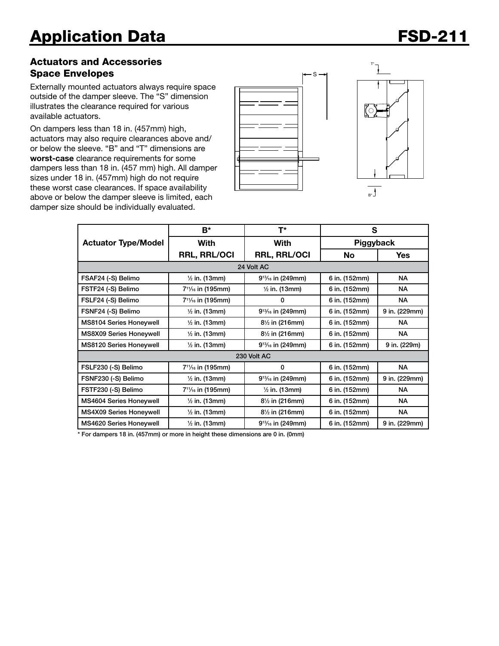#### Actuators and Accessories Space Envelopes

Externally mounted actuators always require space outside of the damper sleeve. The "S" dimension illustrates the clearance required for various available actuators.

On dampers less than 18 in. (457mm) high, actuators may also require clearances above and/ or below the sleeve. "B" and "T" dimensions are worst-case clearance requirements for some dampers less than 18 in. (457 mm) high. All damper sizes under 18 in. (457mm) high do not require these worst case clearances. If space availability above or below the damper sleeve is limited, each damper size should be individually evaluated.





|                                | B*                                         | T*                                         | S             |               |  |  |
|--------------------------------|--------------------------------------------|--------------------------------------------|---------------|---------------|--|--|
| <b>Actuator Type/Model</b>     | With                                       | With                                       | Piggyback     |               |  |  |
|                                | <b>RRL, RRL/OCI</b>                        | <b>RRL, RRL/OCI</b>                        | No            | <b>Yes</b>    |  |  |
| 24 Volt AC                     |                                            |                                            |               |               |  |  |
| FSAF24 (-S) Belimo             | $\frac{1}{2}$ in. (13mm)                   | $9^{13}/_{16}$ in (249mm)                  | 6 in. (152mm) | <b>NA</b>     |  |  |
| FSTF24 (-S) Belimo             | 7 <sup>11</sup> / <sub>16</sub> in (195mm) | $\frac{1}{2}$ in. (13mm)                   | 6 in. (152mm) | <b>NA</b>     |  |  |
| FSLF24 (-S) Belimo             | 7 <sup>11</sup> / <sub>16</sub> in (195mm) | 0                                          | 6 in. (152mm) | <b>NA</b>     |  |  |
| FSNF24 (-S) Belimo             | $\frac{1}{2}$ in. (13mm)                   | 9 <sup>13</sup> / <sub>16</sub> in (249mm) | 6 in. (152mm) | 9 in. (229mm) |  |  |
| MS8104 Series Honeywell        | $\frac{1}{2}$ in. (13mm)                   | $8\frac{1}{2}$ in (216mm)                  | 6 in. (152mm) | NA.           |  |  |
| MS8X09 Series Honeywell        | $\frac{1}{2}$ in. (13mm)                   | $8\frac{1}{2}$ in (216mm)                  | 6 in. (152mm) | <b>NA</b>     |  |  |
| <b>MS8120 Series Honeywell</b> | $\frac{1}{2}$ in. (13mm)                   | $9^{13}/_{16}$ in (249mm)                  | 6 in. (152mm) | 9 in. (229m)  |  |  |
| 230 Volt AC                    |                                            |                                            |               |               |  |  |
| FSLF230 (-S) Belimo            | 7 <sup>11</sup> / <sub>16</sub> in (195mm) | 0                                          | 6 in. (152mm) | <b>NA</b>     |  |  |
| FSNF230 (-S) Belimo            | $\frac{1}{2}$ in. (13mm)                   | $9^{13}/_{16}$ in (249mm)                  | 6 in. (152mm) | 9 in. (229mm) |  |  |
| FSTF230 (-S) Belimo            | 7 <sup>11</sup> / <sub>16</sub> in (195mm) | $\frac{1}{2}$ in. (13mm)                   | 6 in. (152mm) | <b>NA</b>     |  |  |
| MS4604 Series Honeywell        | $\frac{1}{2}$ in. (13mm)                   | $8\frac{1}{2}$ in (216mm)                  | 6 in. (152mm) | <b>NA</b>     |  |  |
| <b>MS4X09 Series Honeywell</b> | $\frac{1}{2}$ in. (13mm)                   | $8\frac{1}{2}$ in (216mm)                  | 6 in. (152mm) | <b>NA</b>     |  |  |
| MS4620 Series Honeywell        | $\frac{1}{2}$ in. (13mm)                   | $9^{13}/_{16}$ in (249mm)                  | 6 in. (152mm) | 9 in. (229mm) |  |  |

\* For dampers 18 in. (457mm) or more in height these dimensions are 0 in. (0mm)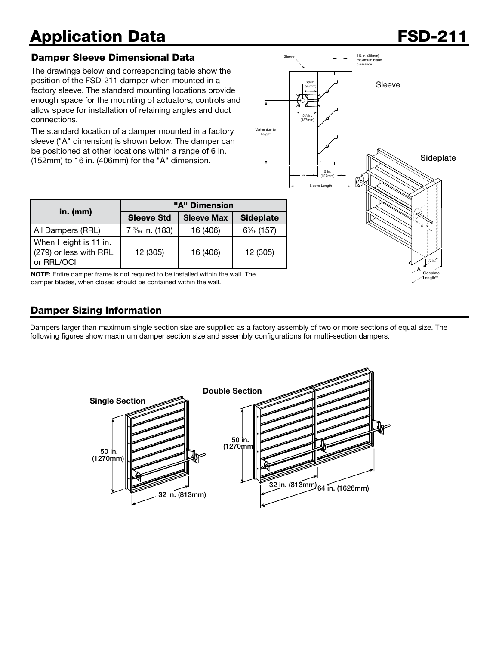## Application Data **FSD-211**

#### Damper Sleeve Dimensional Data

The drawings below and corresponding table show the position of the FSD-211 damper when mounted in a factory sleeve. The standard mounting locations provide enough space for the mounting of actuators, controls and allow space for installation of retaining angles and duct connections.

The standard location of a damper mounted in a factory sleeve ("A" dimension) is shown below. The damper can be positioned at other locations within a range of 6 in. (152mm) to 16 in. (406mm) for the "A" dimension.



|                                                               | "A" Dimension     |                   |                  |  |  |
|---------------------------------------------------------------|-------------------|-------------------|------------------|--|--|
| in. $(mm)$                                                    | <b>Sleeve Std</b> | <b>Sleeve Max</b> | <b>Sideplate</b> |  |  |
| All Dampers (RRL)                                             | 7 % in. (183)     | 16 (406)          | $6\% (157)$      |  |  |
| When Height is 11 in.<br>(279) or less with RRL<br>or RRL/OCI | 12 (305)          | 16 (406)          | 12 (305)         |  |  |

NOTE: Entire damper frame is not required to be installed within the wall. The damper blades, when closed should be contained within the wall.

### Damper Sizing Information

Dampers larger than maximum single section size are supplied as a factory assembly of two or more sections of equal size. The following figures show maximum damper section size and assembly configurations for multi-section dampers.